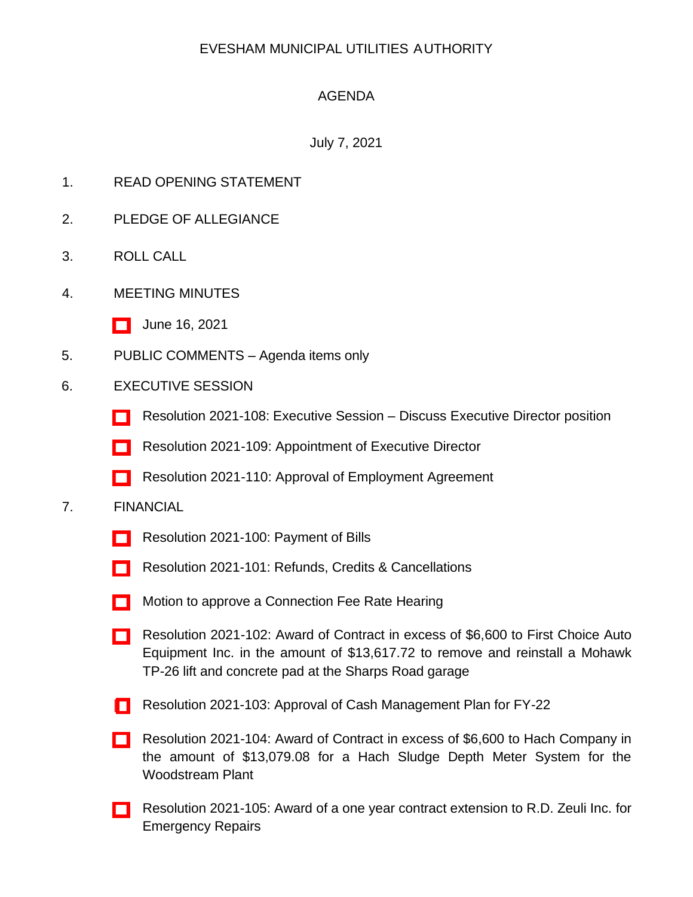## EVESHAM MUNICIPAL UTILITIES AUTHORITY

# AGENDA

### July 7, 2021

- 1. READ OPENING STATEMENT
- 2. PLEDGE OF ALLEGIANCE
- 3. ROLL CALL
- 4. MEETING MINUTES
	- [\[ \]](http://www.eveshammua.com/wp-content/uploads/2021/06/minutes-6-16-2021.pdf) June 16, 2021
- 5. PUBLIC COMMENTS Agenda items only
- 6. EXECUTIVE SESSION
	- [\[ \]](http://www.eveshammua.com/wp-content/uploads/2021/07/Resolution-2021-108-Executive-Session-.pdf) Resolution 2021-108: Executive Session Discuss Executive Director position
	- [\[ \]](http://www.eveshammua.com/wp-content/uploads/2021/07/Resolution-2021-109-Appointing-Executive-Director.pdf) Resolution 2021-109: Appointment of Executive Director
	- [\[ \]](http://www.eveshammua.com/wp-content/uploads/2021/07/Resolution-2021-110-Authorizing-Executive-Director-Employment-Agreement-Booth-4831-2667-1600.pdf) Resolution 2021-110: Approval of Employment Agreement

#### 7. FINANCIAL

- [\[ \]](http://www.eveshammua.com/wp-content/uploads/2021/06/Resolution-2021-100-Bill-List-.pdf) Resolution 2021-100: Payment of Bills
- [\[ \]](http://www.eveshammua.com/wp-content/uploads/2021/06/Resolution-2021-101-REFUNDS-.pdf) Resolution 2021-101: Refunds, Credits & Cancellations
- **[\[ \]](http://www.eveshammua.com/wp-content/uploads/2021/07/Conn-Fee-Rate-Hearing-notice-FY-22.pdf)** Motion to approve a Connection Fee Rate Hearing
- [\[ \]](http://www.eveshammua.com/wp-content/uploads/2021/06/Resolution-2021-102-First-Choice-Auto.pdf) Resolution 2021-102: Award of Contract in excess of \$6,600 to First Choice Auto Equipment Inc. in the amount of \$13,617.72 to remove and reinstall a Mohawk TP-26 lift and concrete pad at the Sharps Road garage
- [ [\]](http://www.eveshammua.com/wp-content/uploads/2021/06/Resolution-2021-103-Cash-Mgt-Plan-Resolution-2022-.pdf) Resolution 2021-103: Approval of Cash Management Plan for FY-22
- [\[ \]](http://www.eveshammua.com/wp-content/uploads/2021/06/Resolution-2021-104-Hach-Company.pdf) Resolution 2021-104: Award of Contract in excess of \$6,600 to Hach Company in the amount of \$13,079.08 for a Hach Sludge Depth Meter System for the Woodstream Plant
- [\[ \]](http://www.eveshammua.com/wp-content/uploads/2021/06/Resolution-2021-105-Contract-Extension-R.D.-Zeuli-Inc.-.pdf) Resolution 2021-105: Award of a one year contract extension to R.D. Zeuli Inc. for Emergency Repairs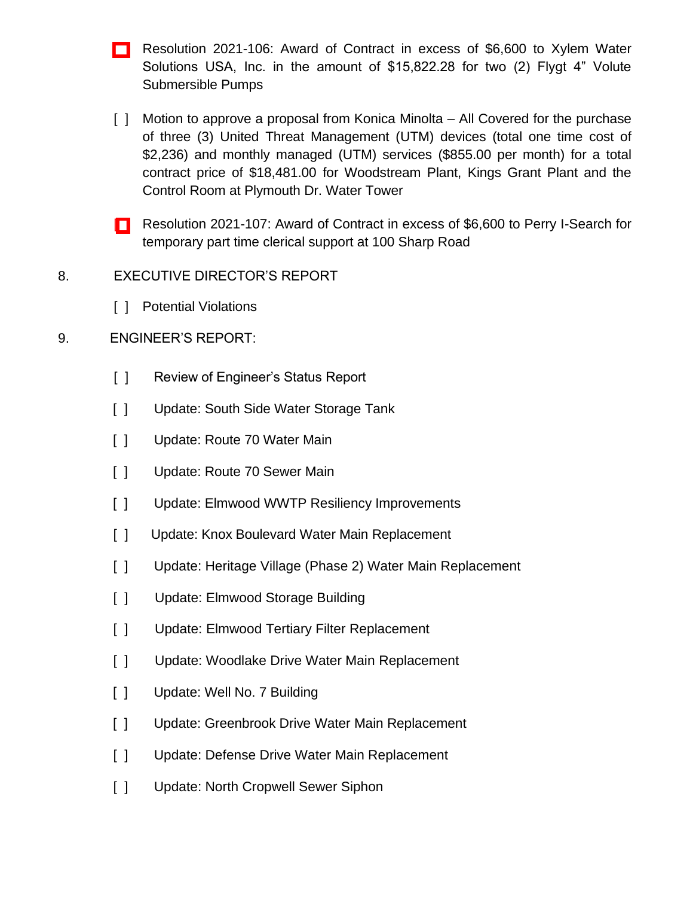- [\[ \]](http://www.eveshammua.com/wp-content/uploads/2021/07/Resolution-2021-106-Xylem-Water-Solutions-USA-Inc.pdf) Resolution 2021-106: Award of Contract in excess of \$6,600 to Xylem Water Solutions USA, Inc. in the amount of \$15,822.28 for two (2) Flygt 4" Volute Submersible Pumps
- [ ] Motion to approve a proposal from Konica Minolta All Covered for the purchase of three (3) United Threat Management (UTM) devices (total one time cost of \$2,236) and monthly managed (UTM) services (\$855.00 per month) for a total contract price of \$18,481.00 for Woodstream Plant, Kings Grant Plant and the Control Room at Plymouth Dr. Water Tower
- [ [\]](http://www.eveshammua.com/wp-content/uploads/2021/07/Resolution-2021-107-Perry-i-Search.pdf) Resolution 2021-107: Award of Contract in excess of \$6,600 to Perry I-Search for temporary part time clerical support at 100 Sharp Road
- 8. EXECUTIVE DIRECTOR'S REPORT
	- [ ] Potential Violations

### 9. ENGINEER'S REPORT:

- [ ] Review of Engineer's Status Report
- [ ] Update: South Side Water Storage Tank
- [ ] Update: Route 70 Water Main
- [ ] Update: Route 70 Sewer Main
- [ ] Update: Elmwood WWTP Resiliency Improvements
- [ ] Update: Knox Boulevard Water Main Replacement
- [ ] Update: Heritage Village (Phase 2) Water Main Replacement
- [ ] Update: Elmwood Storage Building
- [ ] Update: Elmwood Tertiary Filter Replacement
- [ ] Update: Woodlake Drive Water Main Replacement
- [ ] Update: Well No. 7 Building
- [ ] Update: Greenbrook Drive Water Main Replacement
- [ ] Update: Defense Drive Water Main Replacement
- [ ] Update: North Cropwell Sewer Siphon